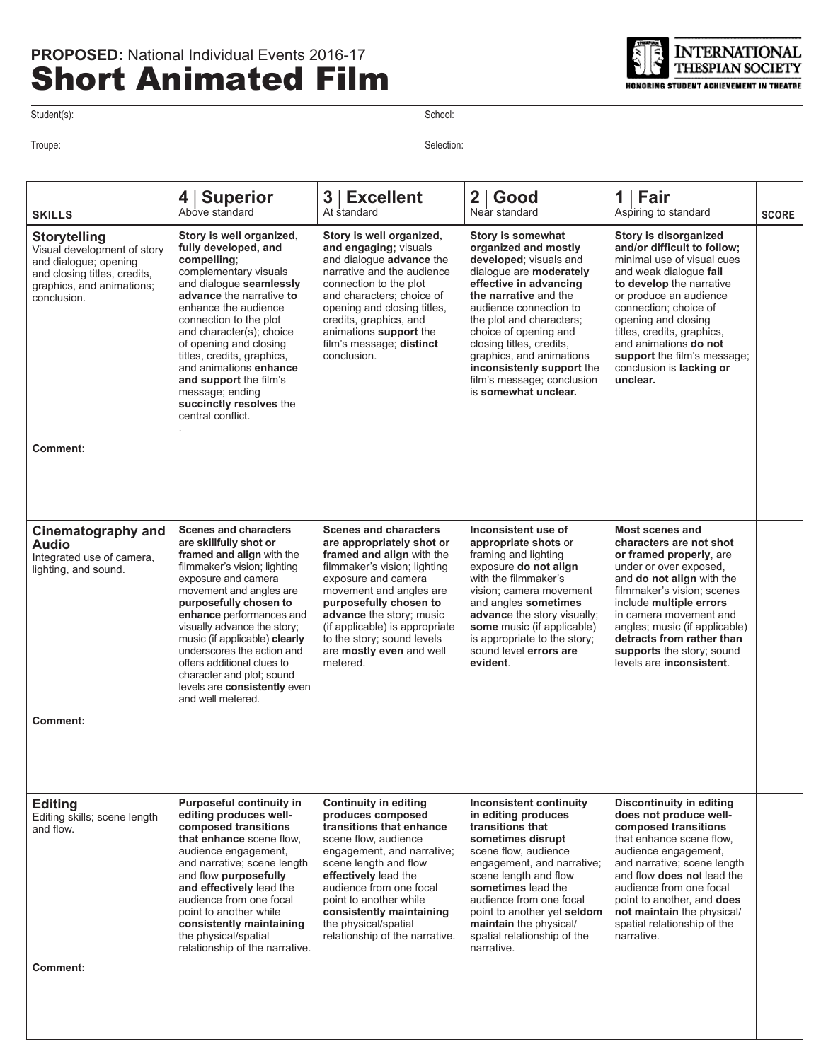

Student(s): School: Student(s):

Troupe: Selection:

| <b>SKILLS</b>                                                                                                                                           | <b>Superior</b><br>4<br>Above standard                                                                                                                                                                                                                                                                                                                                                                                                    | 3 <br><b>Excellent</b><br>At standard                                                                                                                                                                                                                                                                                                  | $\mathbf{2}$<br>Good<br>Near standard                                                                                                                                                                                                                                                                                                                                       | Fair<br>1 <sup>1</sup><br>Aspiring to standard                                                                                                                                                                                                                                                                                                          | <b>SCORE</b> |
|---------------------------------------------------------------------------------------------------------------------------------------------------------|-------------------------------------------------------------------------------------------------------------------------------------------------------------------------------------------------------------------------------------------------------------------------------------------------------------------------------------------------------------------------------------------------------------------------------------------|----------------------------------------------------------------------------------------------------------------------------------------------------------------------------------------------------------------------------------------------------------------------------------------------------------------------------------------|-----------------------------------------------------------------------------------------------------------------------------------------------------------------------------------------------------------------------------------------------------------------------------------------------------------------------------------------------------------------------------|---------------------------------------------------------------------------------------------------------------------------------------------------------------------------------------------------------------------------------------------------------------------------------------------------------------------------------------------------------|--------------|
| <b>Storytelling</b><br>Visual development of story<br>and dialogue; opening<br>and closing titles, credits,<br>graphics, and animations;<br>conclusion. | Story is well organized,<br>fully developed, and<br>compelling;<br>complementary visuals<br>and dialogue seamlessly<br>advance the narrative to<br>enhance the audience<br>connection to the plot<br>and character(s); choice<br>of opening and closing<br>titles, credits, graphics,<br>and animations enhance<br>and support the film's<br>message; ending<br>succinctly resolves the<br>central conflict.                              | Story is well organized,<br>and engaging; visuals<br>and dialogue advance the<br>narrative and the audience<br>connection to the plot<br>and characters; choice of<br>opening and closing titles,<br>credits, graphics, and<br>animations support the<br>film's message; distinct<br>conclusion.                                       | Story is somewhat<br>organized and mostly<br>developed; visuals and<br>dialogue are moderately<br>effective in advancing<br>the narrative and the<br>audience connection to<br>the plot and characters;<br>choice of opening and<br>closing titles, credits,<br>graphics, and animations<br>inconsistenly support the<br>film's message; conclusion<br>is somewhat unclear. | Story is disorganized<br>and/or difficult to follow;<br>minimal use of visual cues<br>and weak dialoque fail<br>to develop the narrative<br>or produce an audience<br>connection; choice of<br>opening and closing<br>titles, credits, graphics,<br>and animations do not<br>support the film's message;<br>conclusion is <b>lacking or</b><br>unclear. |              |
| <b>Comment:</b>                                                                                                                                         |                                                                                                                                                                                                                                                                                                                                                                                                                                           |                                                                                                                                                                                                                                                                                                                                        |                                                                                                                                                                                                                                                                                                                                                                             |                                                                                                                                                                                                                                                                                                                                                         |              |
| Cinematography and<br><b>Audio</b><br>Integrated use of camera,<br>lighting, and sound.                                                                 | <b>Scenes and characters</b><br>are skillfully shot or<br>framed and align with the<br>filmmaker's vision; lighting<br>exposure and camera<br>movement and angles are<br>purposefully chosen to<br>enhance performances and<br>visually advance the story;<br>music (if applicable) clearly<br>underscores the action and<br>offers additional clues to<br>character and plot; sound<br>levels are consistently even<br>and well metered. | <b>Scenes and characters</b><br>are appropriately shot or<br>framed and align with the<br>filmmaker's vision; lighting<br>exposure and camera<br>movement and angles are<br>purposefully chosen to<br>advance the story; music<br>(if applicable) is appropriate<br>to the story; sound levels<br>are mostly even and well<br>metered. | Inconsistent use of<br>appropriate shots or<br>framing and lighting<br>exposure do not align<br>with the filmmaker's<br>vision; camera movement<br>and angles sometimes<br>advance the story visually;<br>some music (if applicable)<br>is appropriate to the story;<br>sound level errors are<br>evident.                                                                  | <b>Most scenes and</b><br>characters are not shot<br>or framed properly, are<br>under or over exposed,<br>and do not align with the<br>filmmaker's vision; scenes<br>include multiple errors<br>in camera movement and<br>angles; music (if applicable)<br>detracts from rather than<br>supports the story; sound<br>levels are inconsistent.           |              |
| <b>Comment:</b>                                                                                                                                         |                                                                                                                                                                                                                                                                                                                                                                                                                                           |                                                                                                                                                                                                                                                                                                                                        |                                                                                                                                                                                                                                                                                                                                                                             |                                                                                                                                                                                                                                                                                                                                                         |              |
| <b>Editing</b><br>Editing skills; scene length<br>and flow.<br>Comment:                                                                                 | <b>Purposeful continuity in</b><br>editing produces well-<br>composed transitions<br>that enhance scene flow.<br>audience engagement,<br>and narrative; scene length<br>and flow purposefully<br>and effectively lead the<br>audience from one focal<br>point to another while<br>consistently maintaining<br>the physical/spatial<br>relationship of the narrative.                                                                      | <b>Continuity in editing</b><br>produces composed<br>transitions that enhance<br>scene flow, audience<br>engagement, and narrative;<br>scene length and flow<br>effectively lead the<br>audience from one focal<br>point to another while<br>consistently maintaining<br>the physical/spatial<br>relationship of the narrative.        | <b>Inconsistent continuity</b><br>in editing produces<br>transitions that<br>sometimes disrupt<br>scene flow, audience<br>engagement, and narrative;<br>scene length and flow<br>sometimes lead the<br>audience from one focal<br>point to another yet seldom<br>maintain the physical/<br>spatial relationship of the<br>narrative.                                        | <b>Discontinuity in editing</b><br>does not produce well-<br>composed transitions<br>that enhance scene flow.<br>audience engagement,<br>and narrative; scene length<br>and flow does not lead the<br>audience from one focal<br>point to another, and does<br>not maintain the physical/<br>spatial relationship of the<br>narrative.                  |              |
|                                                                                                                                                         |                                                                                                                                                                                                                                                                                                                                                                                                                                           |                                                                                                                                                                                                                                                                                                                                        |                                                                                                                                                                                                                                                                                                                                                                             |                                                                                                                                                                                                                                                                                                                                                         |              |